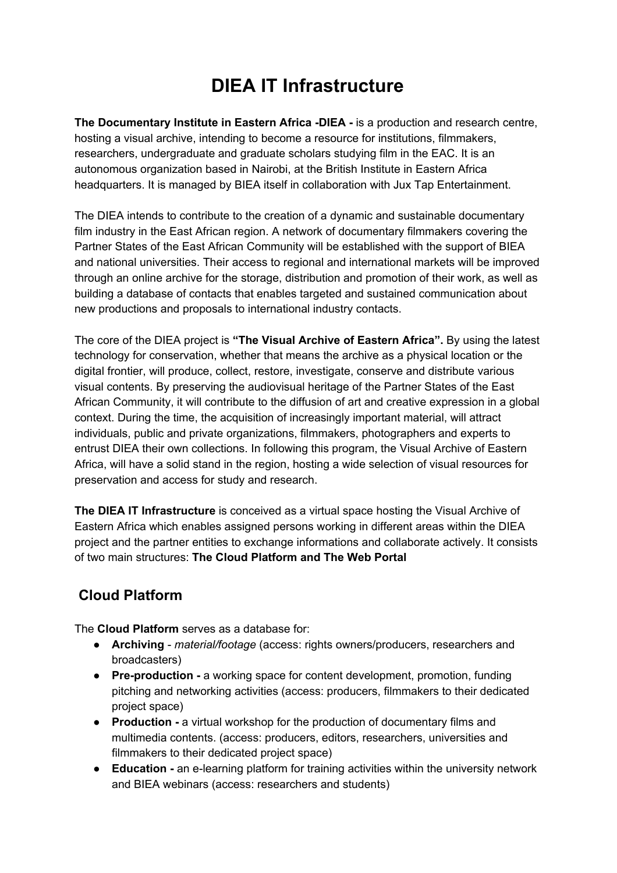# **DIEA IT Infrastructure**

**The Documentary Institute in Eastern Africa -DIEA -** is a production and research centre, hosting a visual archive, intending to become a resource for institutions, filmmakers, researchers, undergraduate and graduate scholars studying film in the EAC. It is an autonomous organization based in Nairobi, at the British Institute in Eastern Africa headquarters. It is managed by BIEA itself in collaboration with Jux Tap Entertainment.

The DIEA intends to contribute to the creation of a dynamic and sustainable documentary film industry in the East African region. A network of documentary filmmakers covering the Partner States of the East African Community will be established with the support of BIEA and national universities. Their access to regional and international markets will be improved through an online archive for the storage, distribution and promotion of their work, as well as building a database of contacts that enables targeted and sustained communication about new productions and proposals to international industry contacts.

The core of the DIEA project is **"The Visual Archive of Eastern Africa".** By using the latest technology for conservation, whether that means the archive as a physical location or the digital frontier, will produce, collect, restore, investigate, conserve and distribute various visual contents. By preserving the audiovisual heritage of the Partner States of the East African Community, it will contribute to the diffusion of art and creative expression in a global context. During the time, the acquisition of increasingly important material, will attract individuals, public and private organizations, filmmakers, photographers and experts to entrust DIEA their own collections. In following this program, the Visual Archive of Eastern Africa, will have a solid stand in the region, hosting a wide selection of visual resources for preservation and access for study and research.

**The DIEA IT Infrastructure** is conceived as a virtual space hosting the Visual Archive of Eastern Africa which enables assigned persons working in different areas within the DIEA project and the partner entities to exchange informations and collaborate actively. It consists of two main structures: **The Cloud Platform and The Web Portal**

### **Cloud Platform**

The **Cloud Platform** serves as a database for:

- **Archiving** *material/footage* (access: rights owners/producers, researchers and broadcasters)
- **Pre-production -** a working space for content development, promotion, funding pitching and networking activities (access: producers, filmmakers to their dedicated project space)
- **Production -** a virtual workshop for the production of documentary films and multimedia contents. (access: producers, editors, researchers, universities and filmmakers to their dedicated project space)
- **Education -** an e-learning platform for training activities within the university network and BIEA webinars (access: researchers and students)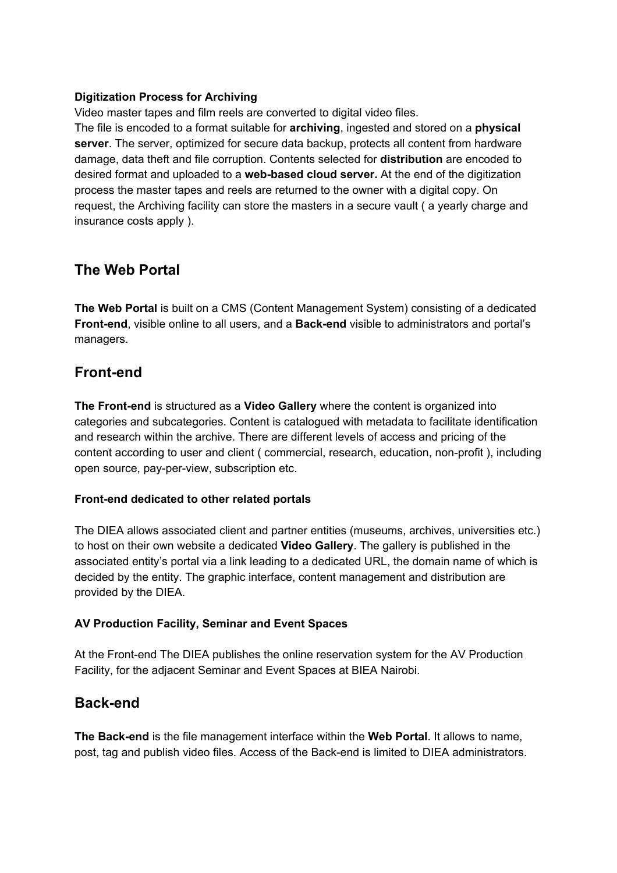#### **Digitization Process for Archiving**

Video master tapes and film reels are converted to digital video files.

The file is encoded to a format suitable for **archiving**, ingested and stored on a **physical server**. The server, optimized for secure data backup, protects all content from hardware damage, data theft and file corruption. Contents selected for **distribution** are encoded to desired format and uploaded to a **web-based cloud server.** At the end of the digitization process the master tapes and reels are returned to the owner with a digital copy. On request, the Archiving facility can store the masters in a secure vault ( a yearly charge and insurance costs apply ).

### **The Web Portal**

**The Web Portal** is built on a CMS (Content Management System) consisting of a dedicated **Front-end**, visible online to all users, and a **Back-end** visible to administrators and portal's managers.

### **Front-end**

**The Front-end** is structured as a **Video Gallery** where the content is organized into categories and subcategories. Content is catalogued with metadata to facilitate identification and research within the archive. There are different levels of access and pricing of the content according to user and client ( commercial, research, education, non-profit ), including open source, pay-per-view, subscription etc.

#### **Front-end dedicated to other related portals**

The DIEA allows associated client and partner entities (museums, archives, universities etc.) to host on their own website a dedicated **Video Gallery**. The gallery is published in the associated entity's portal via a link leading to a dedicated URL, the domain name of which is decided by the entity. The graphic interface, content management and distribution are provided by the DIEA.

#### **AV Production Facility, Seminar and Event Spaces**

At the Front-end The DIEA publishes the online reservation system for the AV Production Facility, for the adjacent Seminar and Event Spaces at BIEA Nairobi.

#### **Back-end**

**The Back-end** is the file management interface within the **Web Portal**. It allows to name, post, tag and publish video files. Access of the Back-end is limited to DIEA administrators.